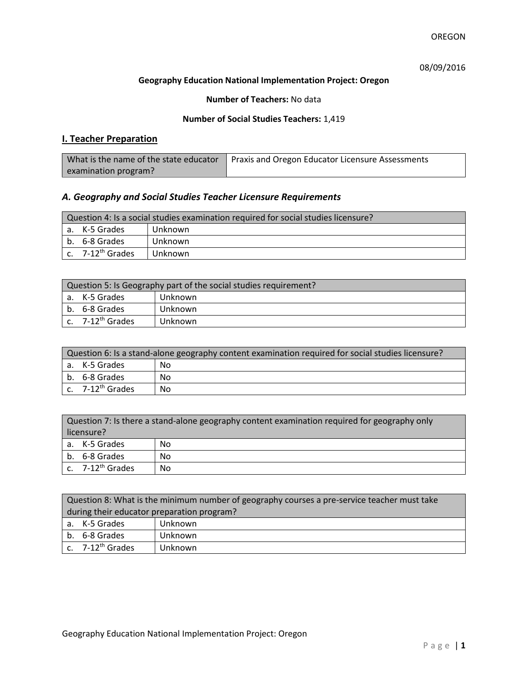# 08/09/2016

## **Geography Education National Implementation Project: Oregon**

## **Number of Teachers:** No data

## **Number of Social Studies Teachers:** 1,419

# **I. Teacher Preparation**

| What is the name of the state educator | Praxis and Oregon Educator Licensure Assessments |
|----------------------------------------|--------------------------------------------------|
| examination program?                   |                                                  |

# *A. Geography and Social Studies Teacher Licensure Requirements*

| Question 4: Is a social studies examination required for social studies licensure? |                       |         |
|------------------------------------------------------------------------------------|-----------------------|---------|
|                                                                                    | a. K-5 Grades         | Unknown |
|                                                                                    | b. 6-8 Grades         | Unknown |
|                                                                                    | c. $7-12^{th}$ Grades | Unknown |

| Question 5: Is Geography part of the social studies requirement? |                              |         |  |
|------------------------------------------------------------------|------------------------------|---------|--|
|                                                                  | a. K-5 Grades                | Unknown |  |
|                                                                  | b. 6-8 Grades                | Unknown |  |
|                                                                  | c. 7-12 <sup>th</sup> Grades | Unknown |  |

| Question 6: Is a stand-alone geography content examination required for social studies licensure? |    |  |  |
|---------------------------------------------------------------------------------------------------|----|--|--|
| a. K-5 Grades                                                                                     | No |  |  |
| b. 6-8 Grades                                                                                     | No |  |  |
| c. $7-12^{th}$ Grades                                                                             | No |  |  |

| Question 7: Is there a stand-alone geography content examination required for geography only<br>licensure? |                       |    |
|------------------------------------------------------------------------------------------------------------|-----------------------|----|
|                                                                                                            | a. K-5 Grades         | No |
|                                                                                                            | b. 6-8 Grades         | No |
|                                                                                                            | c. $7-12^{th}$ Grades | No |

|                                            | Question 8: What is the minimum number of geography courses a pre-service teacher must take |         |  |
|--------------------------------------------|---------------------------------------------------------------------------------------------|---------|--|
| during their educator preparation program? |                                                                                             |         |  |
|                                            | a. K-5 Grades                                                                               | Unknown |  |
|                                            | b. 6-8 Grades                                                                               | Unknown |  |
|                                            | $\vert$ c. 7-12 <sup>th</sup> Grades                                                        | Unknown |  |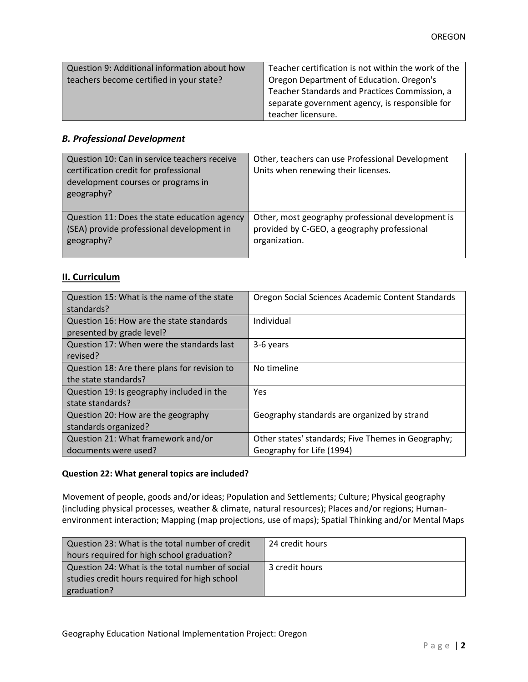| Question 9: Additional information about how | Teacher certification is not within the work of the |
|----------------------------------------------|-----------------------------------------------------|
| teachers become certified in your state?     | Oregon Department of Education. Oregon's            |
|                                              | Teacher Standards and Practices Commission, a       |
|                                              | separate government agency, is responsible for      |
|                                              | teacher licensure.                                  |

# *B. Professional Development*

| Question 10: Can in service teachers receive<br>certification credit for professional<br>development courses or programs in<br>geography? | Other, teachers can use Professional Development<br>Units when renewing their licenses. |
|-------------------------------------------------------------------------------------------------------------------------------------------|-----------------------------------------------------------------------------------------|
| Question 11: Does the state education agency                                                                                              | Other, most geography professional development is                                       |
| (SEA) provide professional development in                                                                                                 | provided by C-GEO, a geography professional                                             |
| geography?                                                                                                                                | organization.                                                                           |

# **II. Curriculum**

| Question 15: What is the name of the state   | Oregon Social Sciences Academic Content Standards  |
|----------------------------------------------|----------------------------------------------------|
| standards?                                   |                                                    |
| Question 16: How are the state standards     | Individual                                         |
| presented by grade level?                    |                                                    |
| Question 17: When were the standards last    | 3-6 years                                          |
| revised?                                     |                                                    |
| Question 18: Are there plans for revision to | No timeline                                        |
| the state standards?                         |                                                    |
| Question 19: Is geography included in the    | Yes                                                |
| state standards?                             |                                                    |
| Question 20: How are the geography           | Geography standards are organized by strand        |
| standards organized?                         |                                                    |
| Question 21: What framework and/or           | Other states' standards; Five Themes in Geography; |
| documents were used?                         | Geography for Life (1994)                          |

#### **Question 22: What general topics are included?**

Movement of people, goods and/or ideas; Population and Settlements; Culture; Physical geography (including physical processes, weather & climate, natural resources); Places and/or regions; Humanenvironment interaction; Mapping (map projections, use of maps); Spatial Thinking and/or Mental Maps

| Question 23: What is the total number of credit | 24 credit hours |
|-------------------------------------------------|-----------------|
| hours required for high school graduation?      |                 |
| Question 24: What is the total number of social | 3 credit hours  |
| studies credit hours required for high school   |                 |
| graduation?                                     |                 |